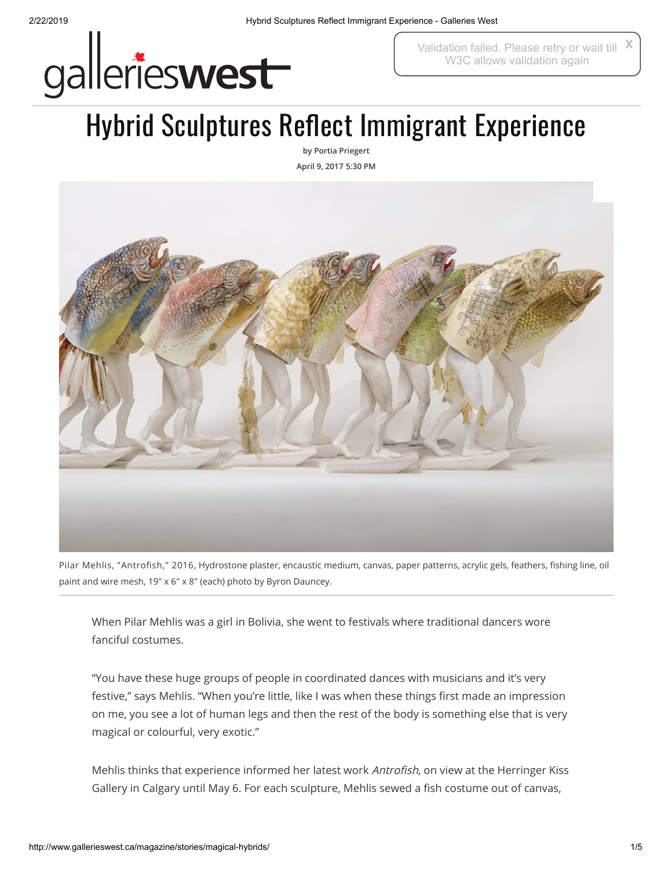

Validation failed. Please retry or wait till W3C allows validation again **X**

# Hybrid Sculptures Reflect Immigrant Experience

**by Portia [Priegert](http://www.gallerieswest.ca/topics/portia_priegert/) April 9, 2017 5:30 PM**



Pilar Mehlis, "Antrofish," 2016, Hydrostone plaster, encaustic medium, canvas, paper patterns, acrylic gels, feathers, fishing line, oil paint and wire mesh, 19" x 6" x 8" (each) photo by Byron Dauncey.

When Pilar Mehlis was a girl in Bolivia, she went to festivals where traditional dancers wore fanciful costumes.

"You have these huge groups of people in coordinated dances with musicians and it's very festive," says Mehlis. "When you're little, like I was when these things first made an impression on me, you see a lot of human legs and then the rest of the body is something else that is very magical or colourful, very exotic."

Mehlis thinks that experience informed her latest work Antrofish, on view at the Herringer Kiss Gallery in Calgary until May 6. For each sculpture, Mehlis sewed a fish costume out of canvas,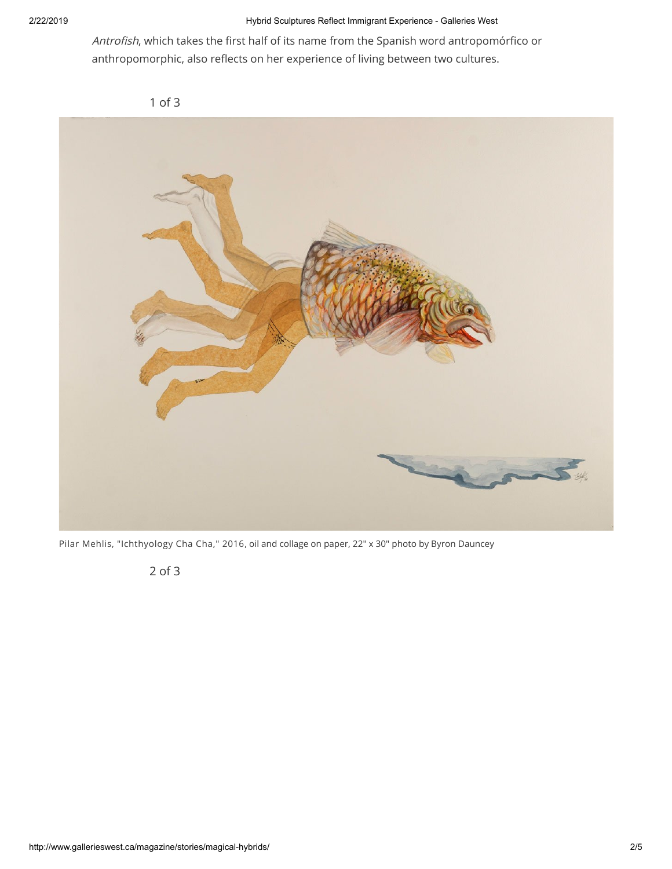#### 2/22/2019 Hybrid Sculptures Reflect Immigrant Experience - Galleries West

Antrofish, which takes the first half of its name from the Spanish word antropomórfico or anthropomorphic, also reflects on her experience of living between two cultures.



1 of 3

Pilar Mehlis, "Ichthyology Cha Cha," 2016, oil and collage on paper, 22" x 30" photo by Byron Dauncey

2 of 3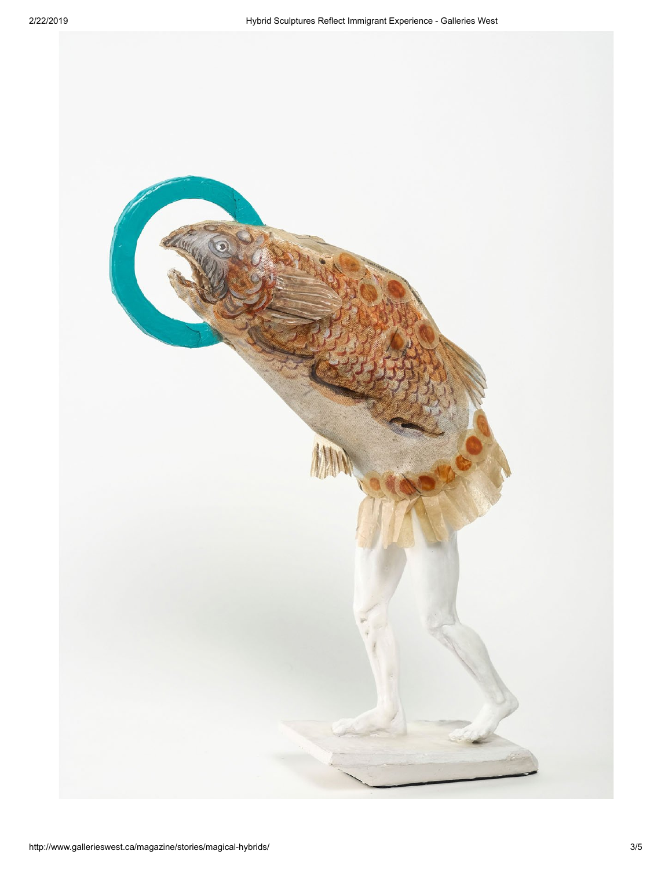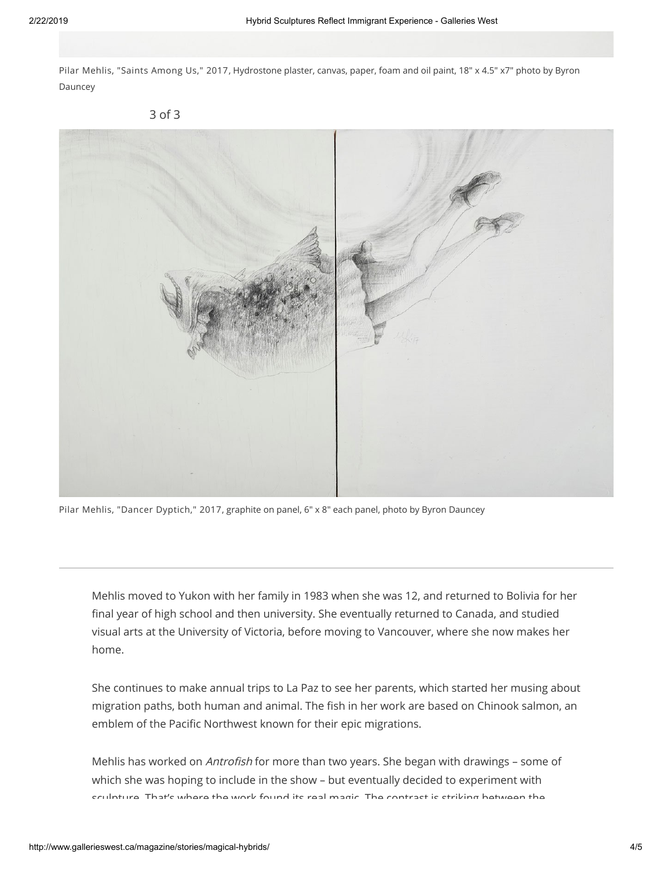Pilar Mehlis, "Saints Among Us," 2017, Hydrostone plaster, canvas, paper, foam and oil paint, 18" x 4.5" x7" photo by Byron Dauncey



3 of 3

Pilar Mehlis, "Dancer Dyptich," 2017, graphite on panel, 6" x 8" each panel, photo by Byron Dauncey

Mehlis moved to Yukon with her family in 1983 when she was 12, and returned to Bolivia for her final year of high school and then university. She eventually returned to Canada, and studied visual arts at the University of Victoria, before moving to Vancouver, where she now makes her home.

She continues to make annual trips to La Paz to see her parents, which started her musing about migration paths, both human and animal. The fish in her work are based on Chinook salmon, an emblem of the Pacific Northwest known for their epic migrations.

Mehlis has worked on Antrofish for more than two years. She began with drawings - some of which she was hoping to include in the show – but eventually decided to experiment with sculpture. That's where the work found its real magic. The contrast is striking between the